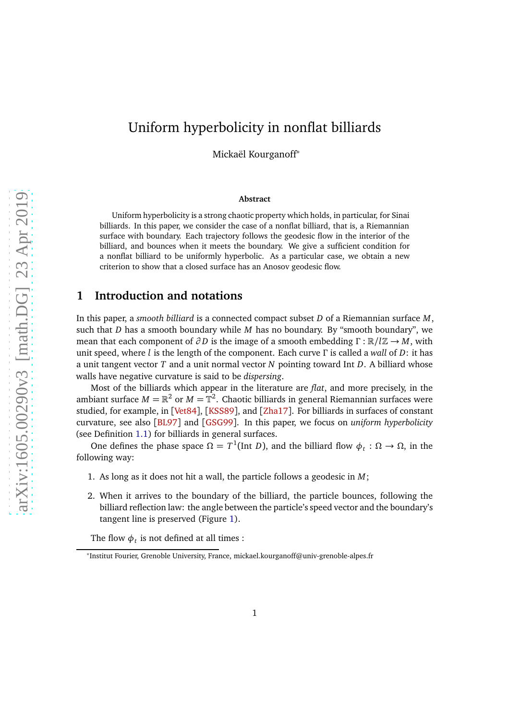# Uniform hyperbolicity in nonflat billiards

Mickaël Kourganoff<sup>∗</sup>

#### **Abstract**

Uniform hyperbolicity is a strong chaotic property which holds, in particular, for Sinai billiards. In this paper, we consider the case of a nonflat billiard, that is, a Riemannian surface with boundary. Each trajectory follows the geodesic flow in the interior of the billiard, and bounces when it meets the boundary. We give a sufficient condition for a nonflat billiard to be uniformly hyperbolic. As a particular case, we obtain a new criterion to show that a closed surface has an Anosov geodesic flow.

### **1 Introduction and notations**

In this paper, a *smooth billiard* is a connected compact subset *D* of a Riemannian surface *M*, such that *D* has a smooth boundary while *M* has no boundary. By "smooth boundary", we mean that each component of  $\partial D$  is the image of a smooth embedding  $\Gamma : \mathbb{R}/l\mathbb{Z} \to M$ , with unit speed, where *l* is the length of the component. Each curve *Γ* is called a *wall* of *D*: it has a unit tangent vector *T* and a unit normal vector *N* pointing toward Int *D*. A billiard whose walls have negative curvature is said to be *dispersing*.

Most of the billiards which appear in the literature are *flat*, and more precisely, in the ambiant surface  $M=\mathbb{R}^2$  or  $M=\mathbb{T}^2.$  Chaotic billiards in general Riemannian surfaces were studied, for example, in [[Vet84](#page-18-0)], [[KSS89](#page-17-0)], and [[Zha17](#page-18-1)]. For billiards in surfaces of constant curvature, see also [[BL97](#page-17-1)] and [[GSG99](#page-17-2)]. In this paper, we focus on *uniform hyperbolicity* (see Definition [1.1\)](#page-2-0) for billiards in general surfaces.

One defines the phase space  $Ω = T<sup>1</sup>(Int D)$ , and the billiard flow  $φ_t : Ω → Ω$ , in the following way:

- 1. As long as it does not hit a wall, the particle follows a geodesic in *M*;
- 2. When it arrives to the boundary of the billiard, the particle bounces, following the billiard reflection law: the angle between the particle's speed vector and the boundary's tangent line is preserved (Figure [1\)](#page-1-0).

The flow  $\phi_t$  is not defined at all times :

<sup>∗</sup> Institut Fourier, Grenoble University, France, mickael.kourganoff@univ-grenoble-alpes.fr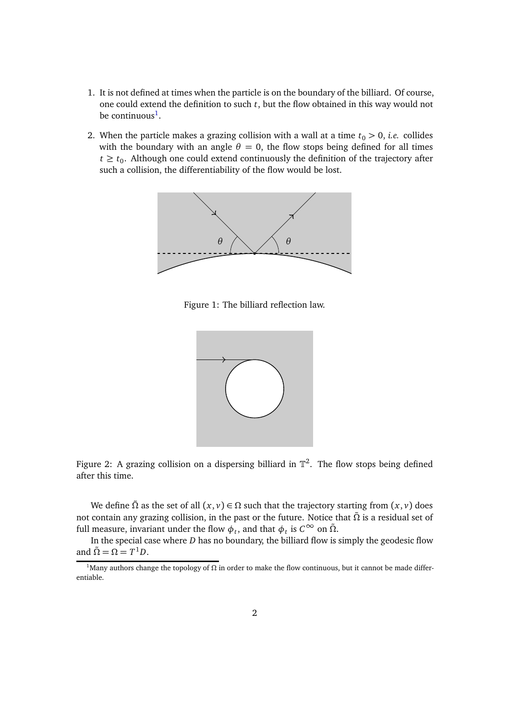- 1. It is not defined at times when the particle is on the boundary of the billiard. Of course, one could extend the definition to such *t*, but the flow obtained in this way would not be continuous<sup>[1](#page-1-1)</sup>.
- 2. When the particle makes a grazing collision with a wall at a time  $t_0 > 0$ , *i.e.* collides with the boundary with an angle  $\theta = 0$ , the flow stops being defined for all times  $t \geq t_0$ . Although one could extend continuously the definition of the trajectory after such a collision, the differentiability of the flow would be lost.



Figure 1: The billiard reflection law.

<span id="page-1-0"></span>

Figure 2: A grazing collision on a dispersing billiard in  $\mathbb{T}^2$ . The flow stops being defined after this time.

We define  $\tilde{\Omega}$  as the set of all  $(x, y) \in \Omega$  such that the trajectory starting from  $(x, y)$  does not contain any grazing collision, in the past or the future. Notice that *Ω*˜ is a residual set of full measure, invariant under the flow  $\phi_t$ , and that  $\phi_t$  is  $C^\infty$  on  $\tilde{\Omega}$ .

In the special case where *D* has no boundary, the billiard flow is simply the geodesic flow and  $\tilde{\Omega} = \Omega = T^1 D$ .

<span id="page-1-1"></span><sup>&</sup>lt;sup>1</sup>Many authors change the topology of  $\Omega$  in order to make the flow continuous, but it cannot be made differentiable.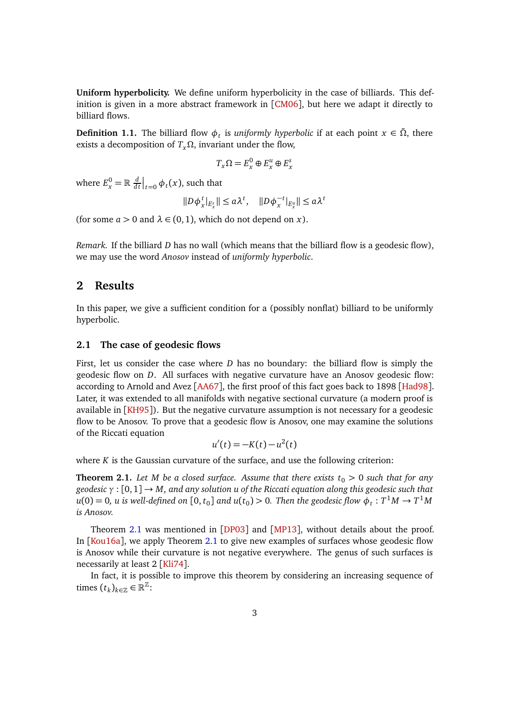**Uniform hyperbolicity.** We define uniform hyperbolicity in the case of billiards. This definition is given in a more abstract framework in [[CM06](#page-17-3)], but here we adapt it directly to billiard flows.

<span id="page-2-0"></span>**Definition 1.1.** The billiard flow  $\phi_t$  is *uniformly hyperbolic* if at each point  $x \in \tilde{\Omega}$ , there exists a decomposition of *TxΩ*, invariant under the flow,

$$
T_x\Omega = E_x^0 \oplus E_x^u \oplus E_x^s
$$

where  $E_x^0 = \mathbb{R} \frac{d}{dx}$  $\frac{d}{dt}\Big|_{t=0} \phi_t(x)$ , such that

$$
||D\phi_x^t|_{E_x^s}|| \le a\lambda^t, \quad ||D\phi_x^{-t}|_{E_x^u}|| \le a\lambda^t
$$

(for some  $a > 0$  and  $\lambda \in (0, 1)$ , which do not depend on *x*).

*Remark.* If the billiard *D* has no wall (which means that the billiard flow is a geodesic flow), we may use the word *Anosov* instead of *uniformly hyperbolic*.

### **2 Results**

In this paper, we give a sufficient condition for a (possibly nonflat) billiard to be uniformly hyperbolic.

#### **2.1 The case of geodesic flows**

First, let us consider the case where *D* has no boundary: the billiard flow is simply the geodesic flow on *D*. All surfaces with negative curvature have an Anosov geodesic flow: according to Arnold and Avez [[AA67](#page-16-0)], the first proof of this fact goes back to 1898 [[Had98](#page-17-4)]. Later, it was extended to all manifolds with negative sectional curvature (a modern proof is available in [[KH95](#page-17-5)]). But the negative curvature assumption is not necessary for a geodesic flow to be Anosov. To prove that a geodesic flow is Anosov, one may examine the solutions of the Riccati equation

$$
u'(t) = -K(t) - u^2(t)
$$

where *K* is the Gaussian curvature of the surface, and use the following criterion:

<span id="page-2-1"></span>**Theorem 2.1.** Let M be a closed surface. Assume that there exists  $t_0 > 0$  such that for any *geodesic γ* : [0, 1] → *M, and any solution u of the Riccati equation along this geodesic such that*  $u(0) = 0$ ,  $u$  is well-defined on  $[0, t_0]$  and  $u(t_0) > 0$ . Then the geodesic flow  $\phi_t: T^1M \to T^1M$ *is Anosov.*

Theorem [2.1](#page-2-1) was mentioned in [[DP03](#page-17-6)] and [[MP13](#page-18-2)], without details about the proof. In [[Kou16a](#page-17-7)], we apply Theorem [2.1](#page-2-1) to give new examples of surfaces whose geodesic flow is Anosov while their curvature is not negative everywhere. The genus of such surfaces is necessarily at least 2 [[Kli74](#page-17-8)].

In fact, it is possible to improve this theorem by considering an increasing sequence of times  $(t_k)_{k \in \mathbb{Z}} \in \mathbb{R}^{\mathbb{Z}}$ :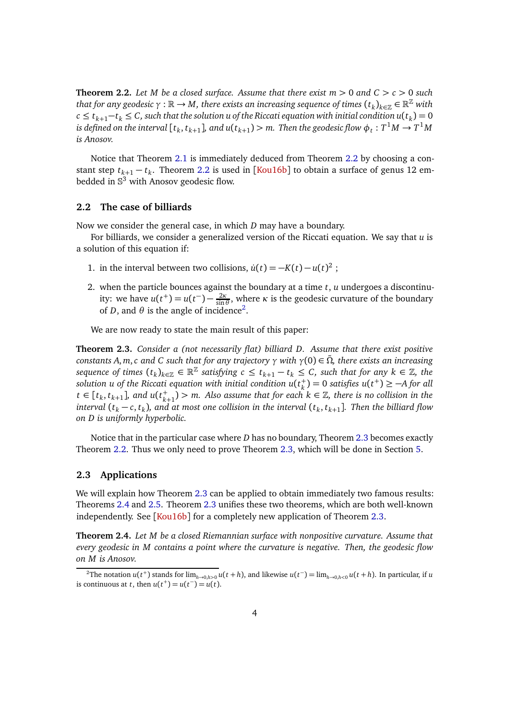<span id="page-3-0"></span>**Theorem 2.2.** Let M be a closed surface. Assume that there exist  $m > 0$  and  $C > c > 0$  such *that for any geodesic*  $\gamma:\mathbb{R}\to M$ *, there exists an increasing sequence of times*  $(t_k)_{k\in\mathbb{Z}}\in\mathbb{R}^\mathbb{Z}$  *with c* ≤  $t_{k+1}-t_k$  ≤ C, such that the solution u of the Riccati equation with initial condition  $u(t_k) = 0$  $i$ s defined on the interval [ $t_k, t_{k+1}$ ], and  $u(t_{k+1}) > m$ . Then the geodesic flow  $\phi_t: T^1M \to T^1M$ *is Anosov.*

Notice that Theorem [2.1](#page-2-1) is immediately deduced from Theorem [2.2](#page-3-0) by choosing a constant step *tk*+<sup>1</sup> − *t<sup>k</sup>* . Theorem [2.2](#page-3-0) is used in [[Kou16b](#page-17-9)] to obtain a surface of genus 12 embedded in  $\mathbb{S}^3$  with Anosov geodesic flow.

### **2.2 The case of billiards**

Now we consider the general case, in which *D* may have a boundary.

For billiards, we consider a generalized version of the Riccati equation. We say that *u* is a solution of this equation if:

- 1. in the interval between two collisions,  $\dot{u}(t) = -K(t) u(t)^2$ ;
- 2. when the particle bounces against the boundary at a time *t*, *u* undergoes a discontinuity: we have  $u(t^+) = u(t^-) - \frac{2\kappa}{\sin \theta}$  $\frac{2K}{\sin \theta}$ , where *κ* is the geodesic curvature of the boundary of *D*, and  $\theta$  is the angle of incidence<sup>[2](#page-3-1)</sup>.

We are now ready to state the main result of this paper:

<span id="page-3-2"></span>**Theorem 2.3.** *Consider a (not necessarily flat) billiard D. Assume that there exist positive constants A*, *<sup>m</sup>*,*c and C such that for any trajectory <sup>γ</sup> with <sup>γ</sup>*(0) <sup>∈</sup> *<sup>Ω</sup>*˜*, there exists an increasing*  $\mathcal{L}$  *sequence of times*  $(t_k)_{k \in \mathbb{Z}} \in \mathbb{R}^{\mathbb{Z}}$  *satisfying*  $c \leq t_{k+1} - t_k \leq C$ *, such that for any*  $k \in \mathbb{Z}$ *, the solution u of the Riccati equation with initial condition*  $u(t^+_\nu)$  $h_k^+$ ) = 0 *satisfies*  $u(t^+) \ge -A$  for all *t* ∈ [ $t_k$ ,  $t_{k+1}$ ], and  $u(t_k^+)$  $k+1$  → *m.* Also assume that for each  $k \in \mathbb{Z}$ , there is no collision in the *interval* (*t<sup>k</sup>* − *c*, *t<sup>k</sup>* )*, and at most one collision in the interval* (*t<sup>k</sup>* , *tk*+<sup>1</sup> ]*. Then the billiard flow on D is uniformly hyperbolic.*

Notice that in the particular case where *D* has no boundary, Theorem [2.3](#page-3-2) becomes exactly Theorem [2.2.](#page-3-0) Thus we only need to prove Theorem [2.3,](#page-3-2) which will be done in Section [5.](#page-11-0)

#### **2.3 Applications**

We will explain how Theorem [2.3](#page-3-2) can be applied to obtain immediately two famous results: Theorems [2.4](#page-3-3) and [2.5.](#page-4-0) Theorem [2.3](#page-3-2) unifies these two theorems, which are both well-known independently. See [[Kou16b](#page-17-9)] for a completely new application of Theorem [2.3.](#page-3-2)

<span id="page-3-3"></span>**Theorem 2.4.** *Let M be a closed Riemannian surface with nonpositive curvature. Assume that every geodesic in M contains a point where the curvature is negative. Then, the geodesic flow on M is Anosov.*

<span id="page-3-1"></span><sup>&</sup>lt;sup>2</sup>The notation  $u(t^+)$  stands for  $\lim_{h\to 0,h>0} u(t+h)$ , and likewise  $u(t^-) = \lim_{h\to 0,h<0} u(t+h)$ . In particular, if u is continuous at *t*, then  $u(t^+) = u(t^-) = u(t)$ .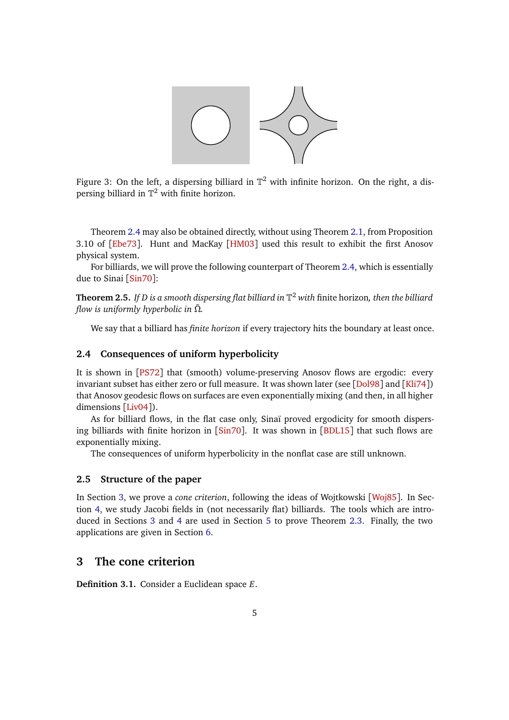

Figure 3: On the left, a dispersing billiard in  $\mathbb{T}^2$  with infinite horizon. On the right, a dispersing billiard in  $\mathbb{T}^2$  with finite horizon.

Theorem [2.4](#page-3-3) may also be obtained directly, without using Theorem [2.1,](#page-2-1) from Proposition 3.10 of [[Ebe73](#page-17-10)]. Hunt and MacKay [[HM03](#page-17-11)] used this result to exhibit the first Anosov physical system.

For billiards, we will prove the following counterpart of Theorem [2.4,](#page-3-3) which is essentially due to Sinai [[Sin70](#page-18-3)]:

<span id="page-4-0"></span>**Theorem 2.5.** *If D is a smooth dispersing flat billiard in* T <sup>2</sup> *with* finite horizon*, then the billiard flow is uniformly hyperbolic in*  $\tilde{\Omega}$ *.* 

We say that a billiard has *finite horizon* if every trajectory hits the boundary at least once.

### **2.4 Consequences of uniform hyperbolicity**

It is shown in [[PS72](#page-18-4)] that (smooth) volume-preserving Anosov flows are ergodic: every invariant subset has either zero or full measure. It was shown later (see [[Dol98](#page-17-12)] and [[Kli74](#page-17-8)]) that Anosov geodesic flows on surfaces are even exponentially mixing (and then, in all higher dimensions [[Liv04](#page-17-13)]).

As for billiard flows, in the flat case only, Sinaï proved ergodicity for smooth dispersing billiards with finite horizon in [[Sin70](#page-18-3)]. It was shown in [[BDL15](#page-16-1)] that such flows are exponentially mixing.

The consequences of uniform hyperbolicity in the nonflat case are still unknown.

#### **2.5 Structure of the paper**

In Section [3,](#page-4-1) we prove a *cone criterion*, following the ideas of Wojtkowski [[Woj85](#page-18-5)]. In Section [4,](#page-7-0) we study Jacobi fields in (not necessarily flat) billiards. The tools which are introduced in Sections [3](#page-4-1) and [4](#page-7-0) are used in Section [5](#page-11-0) to prove Theorem [2.3.](#page-3-2) Finally, the two applications are given in Section [6.](#page-15-0)

# <span id="page-4-1"></span>**3 The cone criterion**

**Definition 3.1.** Consider a Euclidean space *E*.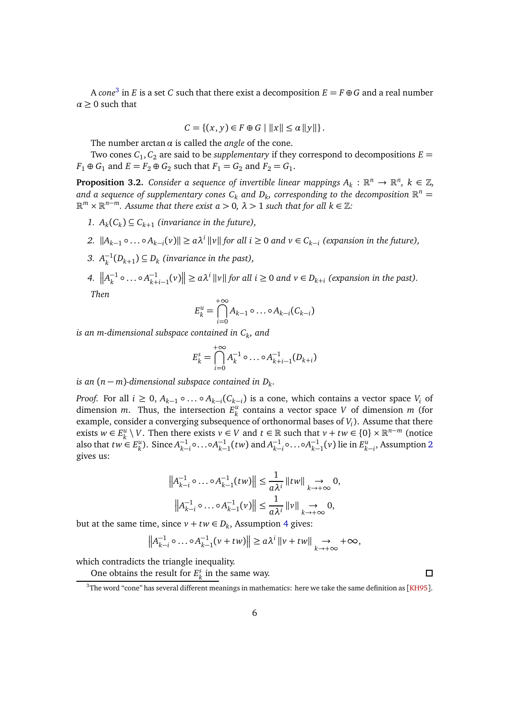A *cone*<sup>[3](#page-5-0)</sup> in *E* is a set *C* such that there exist a decomposition  $E = F \oplus G$  and a real number  $\alpha \geq 0$  such that

$$
C = \{(x, y) \in F \oplus G \mid ||x|| \le \alpha ||y||\}.
$$

The number arctan*α* is called the *angle* of the cone.

Two cones  $C_1, C_2$  are said to be *supplementary* if they correspond to decompositions  $E =$  $F_1 \oplus G_1$  and  $E = F_2 \oplus G_2$  such that  $F_1 = G_2$  and  $F_2 = G_1$ .

<span id="page-5-3"></span>**Proposition 3.2.** *Consider a sequence of invertible linear mappings*  $A_k: \mathbb{R}^n \to \mathbb{R}^n$ ,  $k \in \mathbb{Z}$ , and a sequence of supplementary cones  $C_k$  and  $D_k$ , corresponding to the decomposition  $\mathbb{R}^n =$  $\mathbb{R}^m \times \mathbb{R}^{n-m}$ . Assume that there exist  $a > 0$ ,  $\lambda > 1$  such that for all  $k \in \mathbb{Z}$ :

- <span id="page-5-1"></span>1.  $A_k(C_k) \subseteq C_{k+1}$  (invariance in the future),
- *2.*  $||A_{k-1} \circ \ldots \circ A_{k-i}(v)|| \ge a\lambda^i ||v||$  for all  $i ≥ 0$  and  $v ∈ C_{k-i}$  (expansion in the future),
- <span id="page-5-2"></span>3.  $A_k^{-1}(D_{k+1}) \subseteq D_k$  (invariance in the past),
- *4.*  $||A_k^{-1} \circ ... \circ A_{k+i-1}^{-1}(v)|| \ge a\lambda^i ||v||$  for all  $i \ge 0$  and  $v \in D_{k+i}$  (expansion in the past). *Then*

$$
E_k^u = \bigcap_{i=0}^{+\infty} A_{k-1} \circ \dots \circ A_{k-i}(C_{k-i})
$$

 $i$ *s an m-dimensional subspace contained in*  $C_k$ *, and* 

$$
E_k^s = \bigcap_{i=0}^{+\infty} A_k^{-1} \circ \dots \circ A_{k+i-1}^{-1} (D_{k+i})
$$

# *is an*  $(n - m)$ -dimensional subspace contained in  $D_k$ .

*Proof.* For all  $i \geq 0$ ,  $A_{k-1} \circ \ldots \circ A_{k-i}(C_{k-i})$  is a cone, which contains a vector space  $V_i$  of dimension *m*. Thus, the intersection  $E_{\mu}^{\mu}$ *k* contains a vector space *V* of dimension *m* (for example, consider a converging subsequence of orthonormal bases of *V<sup>i</sup>* ). Assume that there exists  $w \in E_k^u$ *k*  $\setminus$  *V*. Then there exists *v* ∈ *V* and *t* ∈ ℝ such that *v* + *tw* ∈ {0} × ℝ<sup>*n*−*m*</sup> (notice also that  $tw \in E_k^u$  $_{k}^{u}$ ). Since  $A_{k-}^{-1}$ −1 ∘...∘*A*<sup>-1</sup><sub>*k*−</sub>  $_{k-1}^{-1}(tw)$  and  $A_{k-1}^{-1}$ −1 ∘...∘*A*<sup>-1</sup><sub>*k*−</sub>  $\chi_{k-1}^{-1}(v)$  lie in  $E_k^u$ *k*−*i* , Assumption [2](#page-5-1) gives us:

$$
\left\|A_{k-i}^{-1} \circ \dots \circ A_{k-1}^{-1}(tw)\right\| \leq \frac{1}{a\lambda^{i}} \left\|tw \right\| \underset{k \to +\infty}{\to} 0,
$$
  

$$
\left\|A_{k-i}^{-1} \circ \dots \circ A_{k-1}^{-1}(v)\right\| \leq \frac{1}{a\lambda^{i}} \left\|v\right\| \underset{k \to +\infty}{\to} 0,
$$

but at the same time, since  $v + tw \in D_k$ , Assumption [4](#page-5-2) gives:

$$
\left\|A_{k-i}^{-1} \circ \dots \circ A_{k-1}^{-1} (\nu + t w)\right\| \ge a \lambda^i \left\| \nu + t w \right\| \underset{k \to +\infty}{\to} +\infty,
$$

which contradicts the triangle inequality.

One obtains the result for  $E^s_\nu$  $\frac{s}{k}$  in the same way.

<span id="page-5-0"></span> $3$ The word "cone" has several different meanings in mathematics: here we take the same definition as [[KH95](#page-17-5)].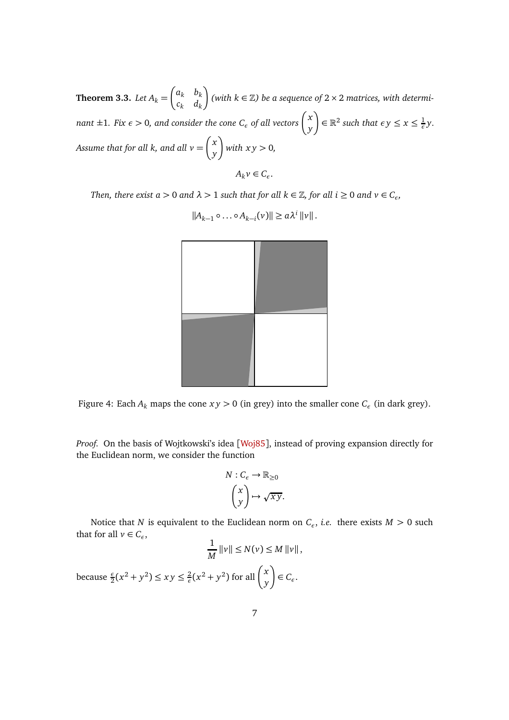<span id="page-6-0"></span>**Theorem 3.3.** *Let*  $A_k =$  $\int a_k$  *b*<sub>k</sub> *c<sup>k</sup> d<sup>k</sup>*  $\bigg)$  (with  $k \in \mathbb{Z}$ ) be a sequence of 2  $\times$  2 matrices, with determi*nant*  $\pm 1$ *. Fix*  $\epsilon > 0$ *, and consider the cone*  $C_{\epsilon}$  *of all vectors*  $\begin{pmatrix} x \ y \end{pmatrix}$ *y*  $\left(\frac{1}{\epsilon}\right) \in \mathbb{R}^2$  such that  $\epsilon y \leq x \leq \frac{1}{\epsilon}$ *ε y. Assume that for all k, and all v* = *x y* λ *with x y >* 0*,*  $A_k v \in C_{\epsilon}$ .

*Then, there exist a*  $> 0$  *and*  $\lambda$   $> 1$  *such that for all k*  $\in \mathbb{Z}$ *, for all i*  $\geq 0$  *and*  $\nu \in C_{\epsilon}$ *,* 

$$
\frac{1}{\sqrt{2\pi}}\int_{0}^{\pi}\frac{1}{\sqrt{2\pi}}\left( \frac{1}{\sqrt{2\pi}}\right) \frac{d\mu}{d\mu}
$$

 $||A_{k-1} \circ \ldots \circ A_{k-i}(v)|| \ge a\lambda^i ||v||.$ 

Figure 4: Each  $A_k$  maps the cone  $xy > 0$  (in grey) into the smaller cone  $C_{\epsilon}$  (in dark grey).

*Proof.* On the basis of Wojtkowski's idea [[Woj85](#page-18-5)], instead of proving expansion directly for the Euclidean norm, we consider the function

$$
N: C_{\epsilon} \to \mathbb{R}_{\geq 0}
$$

$$
\begin{pmatrix} x \\ y \end{pmatrix} \mapsto \sqrt{xy}.
$$

Notice that *N* is equivalent to the Euclidean norm on *C<sup>ε</sup>* , *i.e.* there exists *M >* 0 such that for all  $v \in C_{\epsilon}$ ,

$$
\frac{1}{M} ||v|| \le N(v) \le M ||v||,
$$
  
because  $\frac{\epsilon}{2}(x^2 + y^2) \le xy \le \frac{2}{\epsilon}(x^2 + y^2)$  for all  $\binom{x}{y} \in C_{\epsilon}$ .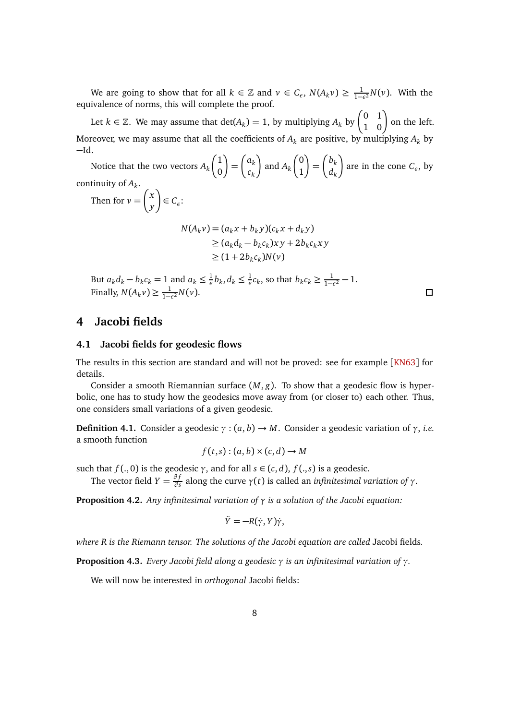We are going to show that for all  $k \in \mathbb{Z}$  and  $v \in C_{\epsilon}$ ,  $N(A_k v) \geq \frac{1}{1-\epsilon^2} N(v)$ . With the equivalence of norms, this will complete the proof.

Let  $k \in \mathbb{Z}$ . We may assume that  $\det(A_k) = 1$ , by multiplying  $A_k$  by  $\begin{pmatrix} 0 & 1 \ 1 & 0 \end{pmatrix}$  on the left. Moreover, we may assume that all the coefficients of  $A_k$  are positive, by multiplying  $A_k$  by −Id.

Notice that the two vectors *A<sup>k</sup>*  $\sqrt{1}$ 0 λ = *ak ck* λ and *A<sup>k</sup>*  $\int$ 1 λ =  $\int b_k$ *dk* λ are in the cone *C<sup>ε</sup>* , by continuity of *A<sup>k</sup>* .

Then for  $v =$  *x y* λ  $\in C_{\epsilon}$ :

$$
N(A_k v) = (a_k x + b_k y)(c_k x + d_k y)
$$
  
\n
$$
\ge (a_k d_k - b_k c_k) x y + 2b_k c_k x y
$$
  
\n
$$
\ge (1 + 2b_k c_k) N(v)
$$

But  $a_k d_k - b_k c_k = 1$  and  $a_k \leq \frac{1}{\epsilon}$  $\frac{1}{\epsilon}b_k, d_k \leq \frac{1}{\epsilon}$  $\frac{1}{\epsilon}c_k$ , so that  $b_k c_k \geq \frac{1}{1-\epsilon^2} - 1$ . Finally,  $N(A_k v) \geq \frac{1}{1-v}$  $\frac{1}{1-\epsilon^2}N(\nu).$ 

 $\Box$ 

# <span id="page-7-1"></span><span id="page-7-0"></span>**4 Jacobi fields**

### **4.1 Jacobi fields for geodesic flows**

The results in this section are standard and will not be proved: see for example [[KN63](#page-17-14)] for details.

Consider a smooth Riemannian surface  $(M, g)$ . To show that a geodesic flow is hyperbolic, one has to study how the geodesics move away from (or closer to) each other. Thus, one considers small variations of a given geodesic.

**Definition 4.1.** Consider a geodesic  $\gamma$  :  $(a, b) \rightarrow M$ . Consider a geodesic variation of  $\gamma$ , *i.e.* a smooth function

$$
f(t,s):(a,b)\times (c,d)\to M
$$

such that *f* (., 0) is the geodesic *γ*, and for all *s*  $\in$  (*c*, *d*), *f* (., *s*) is a geodesic.

The vector field *Y* =  $\frac{\partial f}{\partial s}$ *∂ s* along the curve *γ*(*t*) is called an *infinitesimal variation of γ*.

**Proposition 4.2.** *Any infinitesimal variation of γ is a solution of the Jacobi equation:*

$$
\ddot{Y}=-R(\dot{\gamma},Y)\dot{\gamma},
$$

*where R is the Riemann tensor. The solutions of the Jacobi equation are called* Jacobi fields*.*

**Proposition 4.3.** *Every Jacobi field along a geodesic γ is an infinitesimal variation of γ.*

We will now be interested in *orthogonal* Jacobi fields: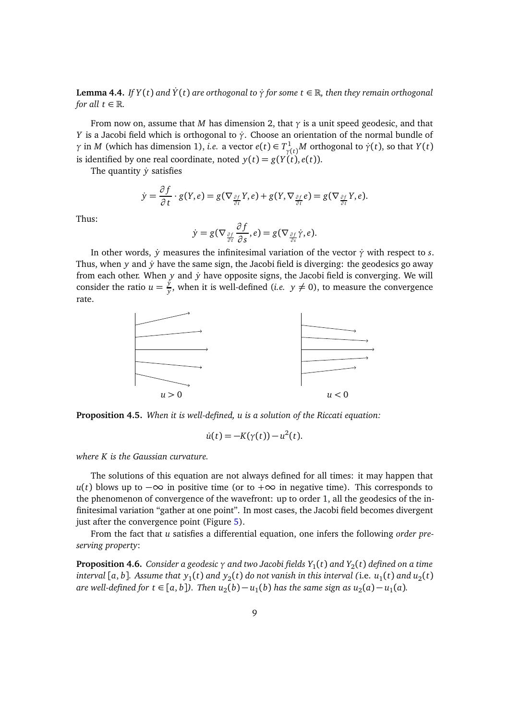<span id="page-8-1"></span>**Lemma 4.4.** *If*  $Y(t)$  *and*  $\dot{Y}(t)$  *are orthogonal to*  $\dot{\gamma}$  *for some*  $t \in \mathbb{R}$ *, then they remain orthogonal for all*  $t \in \mathbb{R}$ *.* 

From now on, assume that *M* has dimension 2, that  $\gamma$  is a unit speed geodesic, and that *Y* is a Jacobi field which is orthogonal to *γ*. Choose an orientation of the normal bundle of *γ* in *M* (which has dimension 1), *i.e.* a vector  $e(t) \in T^1_{\gamma(t)}M$  orthogonal to  $\dot{\gamma}(t)$ , so that *Y*(*t*) is identified by one real coordinate, noted  $y(t) = g(Y(t), e(t))$ .

The quantity  $\dot{y}$  satisfies

$$
\dot{y} = \frac{\partial f}{\partial t} \cdot g(Y,e) = g(\nabla_{\frac{\partial f}{\partial t}} Y,e) + g(Y, \nabla_{\frac{\partial f}{\partial t}} e) = g(\nabla_{\frac{\partial f}{\partial t}} Y,e).
$$

Thus:

$$
\dot{y} = g(\nabla_{\frac{\partial f}{\partial t}} \frac{\partial f}{\partial s}, e) = g(\nabla_{\frac{\partial f}{\partial s}} \dot{\gamma}, e).
$$

In other words,  $\dot{y}$  measures the infinitesimal variation of the vector  $\dot{\gamma}$  with respect to *s*. Thus, when *y* and *y* have the same sign, the Jacobi field is diverging: the geodesics go away from each other. When *y* and *y* have opposite signs, the Jacobi field is converging. We will consider the ratio  $u = \frac{\dot{y}}{y}$  $\frac{y}{y}$ , when it is well-defined (*i.e.*  $y \neq 0$ ), to measure the convergence rate.



**Proposition 4.5.** *When it is well-defined, u is a solution of the Riccati equation:*

$$
\dot{u}(t) = -K(\gamma(t)) - u^2(t).
$$

*where K is the Gaussian curvature.*

The solutions of this equation are not always defined for all times: it may happen that *u*(*t*) blows up to  $-\infty$  in positive time (or to +∞ in negative time). This corresponds to the phenomenon of convergence of the wavefront: up to order 1, all the geodesics of the infinitesimal variation "gather at one point". In most cases, the Jacobi field becomes divergent just after the convergence point (Figure [5\)](#page-9-0).

From the fact that *u* satisfies a differential equation, one infers the following *order preserving property*:

<span id="page-8-0"></span>**Proposition 4.6.** *Consider a geodesic γ and two Jacobi fields Y*<sup>1</sup> (*t*) *and Y*<sup>2</sup> (*t*) *defined on a time* interval [a, b]. Assume that  $y_1(t)$  and  $y_2(t)$  do not vanish in this interval (i.e.  $u_1(t)$  and  $u_2(t)$ *are well-defined for t* ∈ [*a*, *b*]). Then  $u_2(b) - u_1(b)$  has the same sign as  $u_2(a) - u_1(a)$ .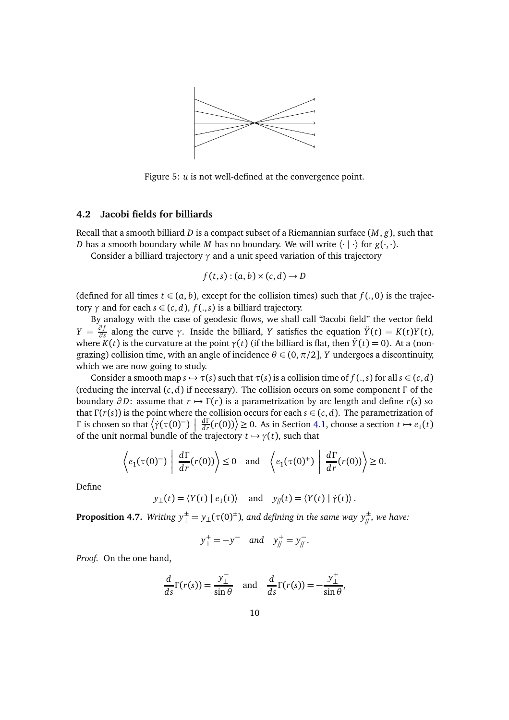

<span id="page-9-0"></span>Figure 5: *u* is not well-defined at the convergence point.

### **4.2 Jacobi fields for billiards**

Recall that a smooth billiard *D* is a compact subset of a Riemannian surface (*M*, *g*), such that *D* has a smooth boundary while *M* has no boundary. We will write  $\langle \cdot | \cdot \rangle$  for  $g(\cdot, \cdot)$ .

Consider a billiard trajectory *γ* and a unit speed variation of this trajectory

$$
f(t,s):(a,b)\times (c,d)\to D
$$

(defined for all times  $t \in (a, b)$ , except for the collision times) such that  $f(., 0)$  is the trajectory  $\gamma$  and for each  $s \in (c, d)$ ,  $f(. , s)$  is a billiard trajectory.

By analogy with the case of geodesic flows, we shall call "Jacobi field" the vector field  $Y = \frac{\partial f}{\partial s}$ *∂*<sup>*f*</sup></sup> along the curve *γ*. Inside the billiard, *Y* satisfies the equation  $ilde{Y}(t) = K(t)Y(t)$ , where  $K(t)$  is the curvature at the point  $\gamma(t)$  (if the billiard is flat, then  $\ddot{Y}(t) = 0$ ). At a (nongrazing) collision time, with an angle of incidence  $\theta \in (0, \pi/2]$ , *Y* undergoes a discontinuity, which we are now going to study.

Consider a smooth map  $s \mapsto \tau(s)$  such that  $\tau(s)$  is a collision time of  $f(. , s)$  for all  $s \in (c, d)$ (reducing the interval (*c*, *d*) if necessary). The collision occurs on some component *Γ* of the boundary  $\partial D$ : assume that  $r \mapsto \Gamma(r)$  is a parametrization by arc length and define  $r(s)$  so that *<sup>Γ</sup>* (*r*(*s*)) is the point where the collision occurs for each *<sup>s</sup>* <sup>∈</sup> (*c*, *<sup>d</sup>*). The parametrization of *Γ* is chosen so that  $\left(\gamma(\tau(0)^-)\right)$  $\frac{d\Gamma}{dr}(r(0))$  ≥ 0. As in Section [4.1,](#page-7-1) choose a section *t* → *e*<sub>1</sub>(*t*) of the unit normal bundle of the trajectory  $t \mapsto \gamma(t)$ , such that

$$
\left\langle e_1(\tau(0)^{-}) \middle| \frac{d\Gamma}{dr}(r(0)) \right\rangle \le 0
$$
 and  $\left\langle e_1(\tau(0)^{+}) \middle| \frac{d\Gamma}{dr}(r(0)) \right\rangle \ge 0.$ 

Define

$$
y_{\perp}(t) = \langle Y(t) | e_1(t) \rangle
$$
 and  $y_{\parallel}(t) = \langle Y(t) | \dot{\gamma}(t) \rangle$ .

<span id="page-9-1"></span>**Proposition 4.7.** Writing  $y^{\pm}_{\perp} = y_{\perp}(\tau(0)^{\pm})$ , and defining in the same way  $y^{\pm}_{\parallel}$ , we have:

$$
y_{\perp}^{+} = -y_{\perp}^{-}
$$
 and  $y_{\parallel}^{+} = y_{\parallel}^{-}$ .

*Proof.* On the one hand,

$$
\frac{d}{ds}\Gamma(r(s))=\frac{y_{\perp}^-}{\sin\theta}\quad\text{and}\quad\frac{d}{ds}\Gamma(r(s))=-\frac{y_{\perp}^+}{\sin\theta},
$$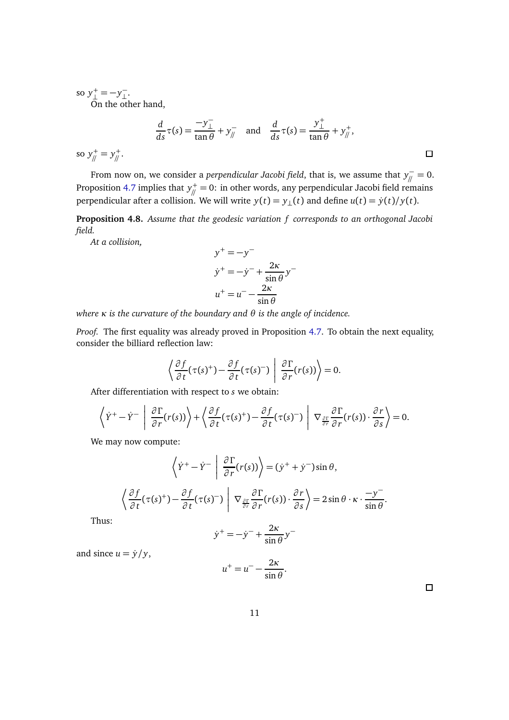so *y* + <sup>+</sup> = −*y*<sup>-</sup><sub>⊥</sub> ⊥ .

On the other hand,

$$
\frac{d}{ds}\tau(s) = \frac{-y_\perp^-}{\tan\theta} + y_\parallel^- \quad \text{and} \quad \frac{d}{ds}\tau(s) = \frac{y_\perp^+}{\tan\theta} + y_\parallel^+,
$$
\n
$$
\text{so } y_\parallel^+ = y_\parallel^+. \qquad \Box
$$

From now on, we consider a *perpendicular Jacobi field*, that is, we assume that  $y^-_\parallel = 0.$ Proposition [4.7](#page-9-1) implies that  $y^+_{\parallel}/=0$ : in other words, any perpendicular Jacobi field remains perpendicular after a collision. We will write  $y(t) = y_{\perp}(t)$  and define  $u(t) = \dot{y}(t)/y(t)$ .

**Proposition 4.8.** *Assume that the geodesic variation f corresponds to an orthogonal Jacobi field.*

*At a collision,*

$$
y^{+} = -y^{-}
$$
  
\n
$$
\dot{y}^{+} = -\dot{y}^{-} + \frac{2\kappa}{\sin \theta} y^{-}
$$
  
\n
$$
u^{+} = u^{-} - \frac{2\kappa}{\sin \theta}
$$

*where κ is the curvature of the boundary and θ is the angle of incidence.*

*Proof.* The first equality was already proved in Proposition [4.7.](#page-9-1) To obtain the next equality, consider the billiard reflection law:

$$
\left\langle \frac{\partial f}{\partial t}(\tau(s)^+) - \frac{\partial f}{\partial t}(\tau(s)^-)\right| \frac{\partial \Gamma}{\partial r}(r(s)) \right\rangle = 0.
$$

After differentiation with respect to *s* we obtain:

$$
\left\langle \dot{Y}^+ - \dot{Y}^- \middle| \frac{\partial \Gamma}{\partial r}(r(s)) \right\rangle + \left\langle \frac{\partial f}{\partial t}(\tau(s)^+) - \frac{\partial f}{\partial t}(\tau(s)^-) \middle| \nabla_{\frac{\partial \Gamma}{\partial r}} \frac{\partial \Gamma}{\partial r}(r(s)) \cdot \frac{\partial r}{\partial s} \right\rangle = 0.
$$

We may now compute:

$$
\left\langle \dot{Y}^{+} - \dot{Y}^{-} \middle| \frac{\partial \Gamma}{\partial r}(r(s)) \right\rangle = (\dot{y}^{+} + \dot{y}^{-})\sin \theta,
$$

$$
\left\langle \frac{\partial f}{\partial t}(\tau(s)^{+}) - \frac{\partial f}{\partial t}(\tau(s)^{-}) \middle| \nabla_{\frac{\partial \Gamma}{\partial r}} \frac{\partial \Gamma}{\partial r}(r(s)) \cdot \frac{\partial r}{\partial s} \right\rangle = 2\sin \theta \cdot \kappa \cdot \frac{-y^{-}}{\sin \theta}.
$$

Thus:

$$
\dot{y}^+ = -\dot{y}^- + \frac{2\kappa}{\sin\theta}y^-
$$

and since  $u = \dot{y}/y$ ,

$$
u^+ = u^- - \frac{2\kappa}{\sin\theta}.
$$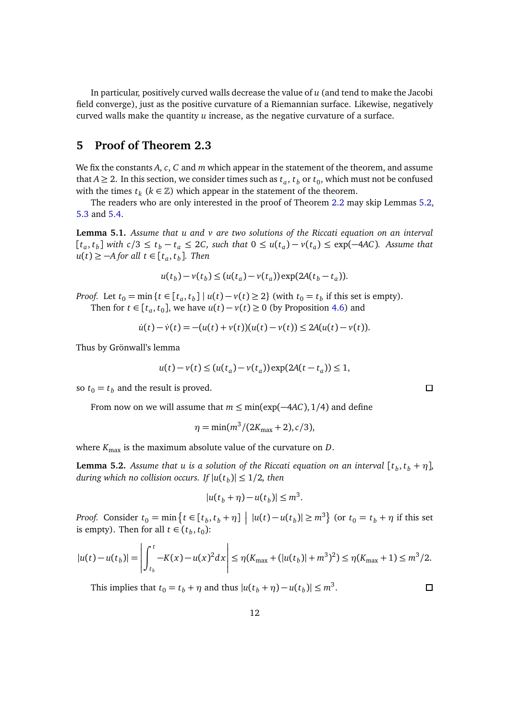In particular, positively curved walls decrease the value of *u* (and tend to make the Jacobi field converge), just as the positive curvature of a Riemannian surface. Likewise, negatively curved walls make the quantity *u* increase, as the negative curvature of a surface.

# <span id="page-11-0"></span>**5 Proof of Theorem 2.3**

We fix the constants *A*, *c*, *C* and *m* which appear in the statement of the theorem, and assume that  $A \geq 2$ . In this section, we consider times such as  $t_a$ ,  $t_b$  or  $t_0$ , which must not be confused with the times  $t_k$  ( $k \in \mathbb{Z}$ ) which appear in the statement of the theorem.

The readers who are only interested in the proof of Theorem [2.2](#page-3-0) may skip Lemmas [5.2,](#page-11-1) [5.3](#page-12-0) and [5.4.](#page-12-1)

<span id="page-11-2"></span>**Lemma 5.1.** *Assume that u and v are two solutions of the Riccati equation on an interval*  $[t_a, t_b]$  with  $c/3 \le t_b - t_a \le 2C$ , such that  $0 \le u(t_a) - v(t_a) \le \exp(-4AC)$ . Assume that *u*(*t*) ≥ −*A* for all *t* ∈ [ $t_a$ ,  $t_b$ ]. Then

$$
u(t_b)-v(t_b) \le (u(t_a)-v(t_a))\exp(2A(t_b-t_a)).
$$

*Proof.* Let  $t_0 = \min\{t \in [t_a, t_b] \mid u(t) - v(t) \ge 2\}$  (with  $t_0 = t_b$  if this set is empty). Then for  $t \in [t_a, t_0]$ , we have  $u(t) - v(t) \ge 0$  (by Proposition [4.6\)](#page-8-0) and

$$
\dot{u}(t) - \dot{v}(t) = -(u(t) + v(t))(u(t) - v(t)) \le 2A(u(t) - v(t)).
$$

Thus by Grönwall's lemma

$$
u(t)-v(t) \le (u(t_a)-v(t_a))\exp(2A(t-t_a)) \le 1,
$$

so  $t_0 = t_b$  and the result is proved.

From now on we will assume that *m* ≤ min(exp(−4*AC*), 1*/*4) and define

$$
\eta = \min(m^3/(2K_{\text{max}}+2), c/3),
$$

where  $K_{\text{max}}$  is the maximum absolute value of the curvature on *D*.

<span id="page-11-1"></span>**Lemma 5.2.** Assume that u is a solution of the Riccati equation on an interval  $[t_b, t_b + \eta]$ , *during which no collision occurs. If*  $|u(t_b)| \leq 1/2$ *, then* 

$$
|u(t_b + \eta) - u(t_b)| \leq m^3.
$$

*Proof.* Consider  $t_0 = \min\left\{t \in [t_b, t_b + \eta] \mid |u(t) - u(t_b)| \ge m^3\right\}$  (or  $t_0 = t_b + \eta$  if this set is empty). Then for all  $t \in (t_b, t_0)$ :

$$
|u(t) - u(t_b)| = \left| \int_{t_b}^t -K(x) - u(x)^2 dx \right| \leq \eta (K_{\max} + (|u(t_b)| + m^3)^2) \leq \eta (K_{\max} + 1) \leq m^3/2.
$$

This implies that  $t_0 = t_b + \eta$  and thus  $|u(t_b + \eta) - u(t_b)| \le m^3$ .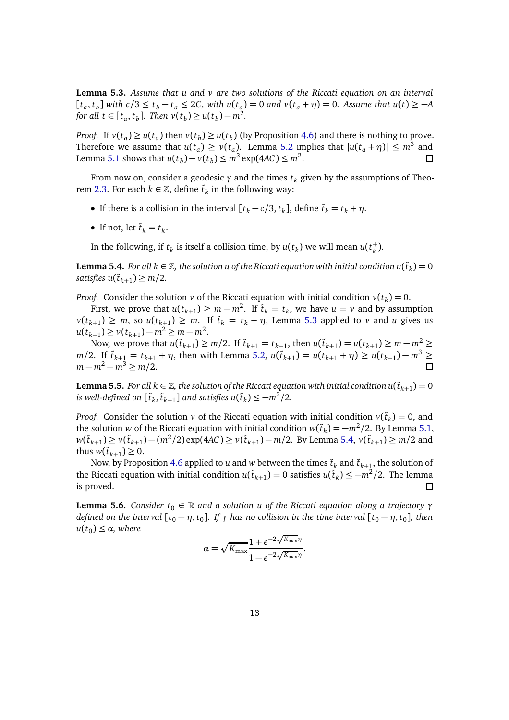<span id="page-12-0"></span>**Lemma 5.3.** *Assume that u and v are two solutions of the Riccati equation on an interval*  $[t_a, t_b]$  with  $c/3 \le t_b - t_a \le 2C$ , with  $u(t_a) = 0$  and  $v(t_a + \eta) = 0$ . Assume that  $u(t) \ge -A$ *for all*  $t \in [t_a, t_b]$ . *Then*  $v(t_b) \ge u(t_b) - m^2$ .

*Proof.* If  $v(t_a) \ge u(t_a)$  then  $v(t_b) \ge u(t_b)$  (by Proposition [4.6\)](#page-8-0) and there is nothing to prove. Therefore we assume that  $u(t_a) \ge v(t_a)$ . Lemma [5.2](#page-11-1) implies that  $|u(t_a + \eta)| \le m^3$  and Lemma [5.1](#page-11-2) shows that  $u(t_b) - v(t_b) \le m^3 \exp(4AC) \le m^2$ .  $\Box$ 

From now on, consider a geodesic  $\gamma$  and the times  $t_k$  given by the assumptions of Theo-rem [2.3.](#page-3-2) For each  $k \in \mathbb{Z}$ , define  $\tilde{t}_k$  in the following way:

- If there is a collision in the interval  $[t_k c/3, t_k]$ , define  $\tilde{t}_k = t_k + \eta$ .
- If not, let  $\tilde{t}_k = t_k$ .

In the following, if  $t_k$  is itself a collision time, by  $u(t_k)$  we will mean  $u(t_k^+)$ *k* ).

<span id="page-12-1"></span>**Lemma 5.4.** *For all k*  $\in \mathbb{Z}$ , the solution u of the Riccati equation with initial condition  $u(\tilde{t}_k) = 0$ *satisfies*  $u(\tilde{t}_{k+1}) \geq m/2$ .

*Proof.* Consider the solution *v* of the Riccati equation with initial condition  $v(t_k) = 0$ .

First, we prove that  $u(t_{k+1}) \ge m - m^2$ . If  $\tilde{t}_k = t_k$ , we have  $u = v$  and by assumption  $\nu(t_{k+1}) \geq m$ , so  $u(t_{k+1}) \geq m$ . If  $\tilde{t}_k = t_k + \eta$ , Lemma [5.3](#page-12-0) applied to *v* and *u* gives us  $u(t_{k+1}) \ge v(t_{k+1}) - m^2 \ge m - m^2$ .

Now, we prove that  $u(\tilde{t}_{k+1}) \ge m/2$ . If  $\tilde{t}_{k+1} = t_{k+1}$ , then  $u(\tilde{t}_{k+1}) = u(t_{k+1}) \ge m - m^2$  ≥ *m*/2. If  $\tilde{t}_{k+1} = t_{k+1} + \eta$ , then with Lemma [5.2,](#page-11-1)  $u(\tilde{t}_{k+1}) = u(t_{k+1} + \eta) \ge u(t_{k+1}) - m^3$  ≥  $m - m^2 - m^3$  ≥ *m*/2.

<span id="page-12-3"></span>**Lemma 5.5.** *For all*  $k \in \mathbb{Z}$ *, the solution of the Riccati equation with initial condition*  $u(\tilde{t}_{k+1}) = 0$ *is well-defined on*  $[\tilde{t}_k, \tilde{t}_{k+1}]$  *and satisfies*  $u(\tilde{t}_k) \leq -m^2/2$ *.* 

*Proof.* Consider the solution *v* of the Riccati equation with initial condition  $v(\tilde{t}_k) = 0$ , and the solution *w* of the Riccati equation with initial condition  $w(\tilde{t}_k) = -m^2/2$ . By Lemma [5.1,](#page-11-2)  $w(\tilde{t}_{k+1}) \ge v(\tilde{t}_{k+1}) - (m^2/2) \exp(4AC) \ge v(\tilde{t}_{k+1}) - m/2$ . By Lemma [5.4,](#page-12-1)  $v(\tilde{t}_{k+1}) \ge m/2$  and thus  $w(\tilde{t}_{k+1}) \geq 0$ .

Now, by Proposition [4.6](#page-8-0) applied to  $u$  and  $w$  between the times  $\tilde{t}_k$  and  $\tilde{t}_{k+1}$ , the solution of the Riccati equation with initial condition  $u(\tilde{t}_{k+1}) = 0$  satisfies  $u(\tilde{t}_k) \leq -m^2/2$ . The lemma is proved. 口

<span id="page-12-2"></span>**Lemma 5.6.** *Consider*  $t_0 \in \mathbb{R}$  *and a solution u of the Riccati equation along a trajectory*  $\gamma$ *defined on the interval*  $[t_0 - \eta, t_0]$ . *If*  $\gamma$  *has no collision in the time interval*  $[t_0 - \eta, t_0]$ , *then*  $u(t_0) \leq \alpha$ *, where* 

$$
\alpha = \sqrt{K_{\max}} \frac{1 + e^{-2\sqrt{K_{\max}}\eta}}{1 - e^{-2\sqrt{K_{\max}}\eta}}.
$$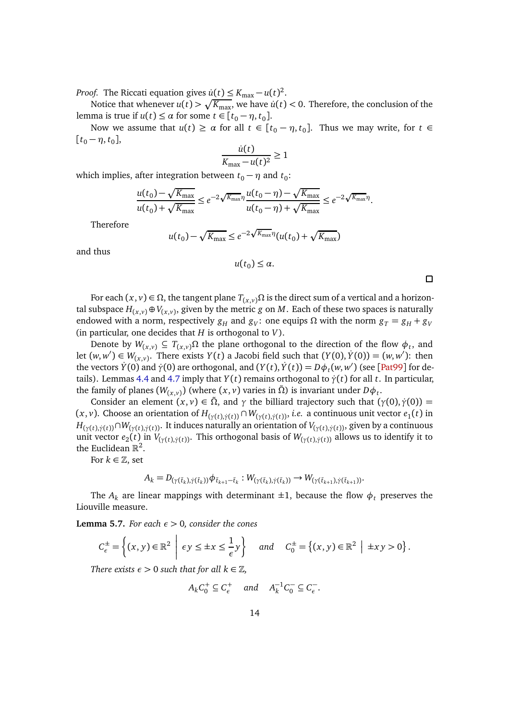*Proof.* The Riccati equation gives  $\dot{u}(t) \le K_{\text{max}} - u(t)^2$ .

Notice that whenever  $u(t) > \sqrt{K_{\text{max}}}$ , we have  $\dot{u}(t) < 0$ . Therefore, the conclusion of the lemma is true if  $u(t) \leq \alpha$  for some  $t \in [t_0 - \eta, t_0]$ .

Now we assume that  $u(t) \ge \alpha$  for all  $t \in [t_0 - \eta, t_0]$ . Thus we may write, for  $t \in$  $[t_0 - \eta, t_0],$ 

$$
\frac{\dot{u}(t)}{K_{\text{max}} - u(t)^2} \ge 1
$$

which implies, after integration between  $t_0 - \eta$  and  $t_0$ :

$$
\frac{u(t_0) - \sqrt{K_{\max}}}{u(t_0) + \sqrt{K_{\max}}} \le e^{-2\sqrt{K_{\max}}\eta} \frac{u(t_0 - \eta) - \sqrt{K_{\max}}}{u(t_0 - \eta) + \sqrt{K_{\max}}} \le e^{-2\sqrt{K_{\max}}\eta}.
$$

Therefore

$$
u(t_0) - \sqrt{K_{\max}} \le e^{-2\sqrt{K_{\max}}\eta} (u(t_0) + \sqrt{K_{\max}})
$$

and thus

$$
u(t_0)\leq \alpha.
$$

For each  $(x, y)$  ∈ Ω, the tangent plane  $T(x, y)$ Ω is the direct sum of a vertical and a horizontal subspace  $H_{(x,v)}$  ⊕  $V_{(x,v)}$ , given by the metric  $g$  on  $M.$  Each of these two spaces is naturally endowed with a norm, respectively  $g_H$  and  $g_V$ : one equips  $\Omega$  with the norm  $g_T = g_H + g_V$ (in particular, one decides that *H* is orthogonal to *V*).

Denote by  $W_{(x,v)} \subseteq T_{(x,v)}\Omega$  the plane orthogonal to the direction of the flow  $\phi_t$ , and let  $(w, w') \in W_{(x,v)}$ . There exists  $Y(t)$  a Jacobi field such that  $(Y(0), Y(0)) = (w, w')$ : then the vectors  $\dot{Y}(0)$  and  $\dot{\gamma}(0)$  are orthogonal, and  $(Y(t), \dot{Y}(t)) = D\phi_t(w, w')$  (see [[Pat99](#page-18-6)] for de-tails). Lemmas [4.4](#page-8-1) and [4.7](#page-9-1) imply that *Y*(*t*) remains orthogonal to  $\dot{\gamma}(t)$  for all *t*. In particular, the family of planes  $(W_{(x,v)})$  (where  $(x,v)$  varies in  $\tilde{\Omega}$ ) is invariant under  $D\phi_t$ .

Consider an element  $(x, y) \in \tilde{\Omega}$ , and  $\gamma$  the billiard trajectory such that  $(\gamma(0), \dot{\gamma}(0)) =$  $(x, v)$ . Choose an orientation of  $H_{(\gamma(t), \dot{\gamma}(t))} \cap W_{(\gamma(t), \dot{\gamma}(t))}$ , *i.e.* a continuous unit vector  $e_1(t)$  in  $H_{(\gamma(t),\dot{\gamma}(t))} \cap W_{(\gamma(t),\dot{\gamma}(t))}$ . It induces naturally an orientation of  $V_{(\gamma(t),\dot{\gamma}(t))}$ , given by a continuous unit vector  $e_2(t)$  in  $V_{(\gamma(t),\dot{\gamma}(t))}$ . This orthogonal basis of  $W_{(\gamma(t),\dot{\gamma}(t))}$  allows us to identify it to the Euclidean  $\mathbb{R}^2$ .

For  $k \in \mathbb{Z}$ , set

$$
A_k = D_{(\gamma(\tilde{t}_k), \dot{\gamma}(\tilde{t}_k))} \phi_{\tilde{t}_{k+1} - \tilde{t}_k} : W_{(\gamma(\tilde{t}_k), \dot{\gamma}(\tilde{t}_k))} \to W_{(\gamma(\tilde{t}_{k+1}), \dot{\gamma}(\tilde{t}_{k+1}))}.
$$

The  $A_k$  are linear mappings with determinant  $\pm 1$ , because the flow  $\phi_t$  preserves the Liouville measure.

**Lemma 5.7.** *For each*  $\epsilon > 0$ *, consider the cones* 

$$
C_{\epsilon}^{\pm} = \left\{ (x, y) \in \mathbb{R}^2 \middle| \epsilon y \leq \pm x \leq \frac{1}{\epsilon} y \right\} \quad \text{and} \quad C_0^{\pm} = \left\{ (x, y) \in \mathbb{R}^2 \middle| \pm xy > 0 \right\}.
$$

*There exists*  $\epsilon > 0$  *such that for all*  $k \in \mathbb{Z}$ *,* 

$$
A_k C_0^+ \subseteq C_{\epsilon}^+ \quad \text{and} \quad A_k^{-1} C_0^- \subseteq C_{\epsilon}^-.
$$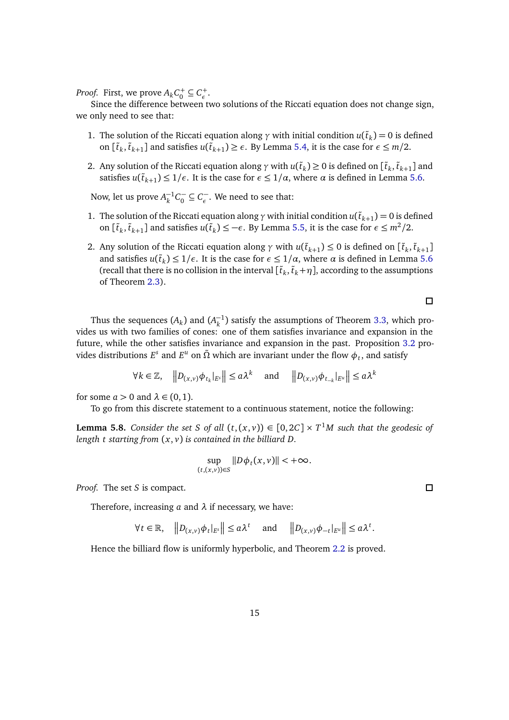*Proof.* First, we prove  $A_k C_0^+ \subseteq C_{\epsilon}^+$ *ε* .

Since the difference between two solutions of the Riccati equation does not change sign, we only need to see that:

- 1. The solution of the Riccati equation along  $\gamma$  with initial condition  $u(\tilde{t}_k) = 0$  is defined on  $[\tilde{t}_k, \tilde{t}_{k+1}]$  and satisfies  $u(\tilde{t}_{k+1}) \ge \epsilon$ . By Lemma [5.4,](#page-12-1) it is the case for  $\epsilon \le m/2$ .
- 2. Any solution of the Riccati equation along  $\gamma$  with  $u(\tilde{t}_k) \ge 0$  is defined on  $[\tilde{t}_k, \tilde{t}_{k+1}]$  and satisfies  $u(\tilde{t}_{k+1}) \leq 1/\epsilon$ . It is the case for  $\epsilon \leq 1/\alpha$ , where  $\alpha$  is defined in Lemma [5.6.](#page-12-2)

Now, let us prove  $A_k^{-1}C_0^- \subseteq C_{\epsilon}^-$ . We need to see that:

- 1. The solution of the Riccati equation along  $\gamma$  with initial condition  $u(\tilde{t}_{k+1}) = 0$  is defined on  $[\tilde{t}_k, \tilde{t}_{k+1}]$  and satisfies  $u(\tilde{t}_k) \le -\epsilon$ . By Lemma [5.5,](#page-12-3) it is the case for  $\epsilon \le m^2/2$ .
- 2. Any solution of the Riccati equation along  $\gamma$  with  $u(\tilde{t}_{k+1}) \leq 0$  is defined on  $[\tilde{t}_k, \tilde{t}_{k+1}]$ and satisfies  $u(\tilde{t}_k) \leq 1/\epsilon$ . It is the case for  $\epsilon \leq 1/\alpha$ , where  $\alpha$  is defined in Lemma [5.6](#page-12-2) (recall that there is no collision in the interval  $[\tilde{t}_k, \tilde{t}_k + \eta]$ , according to the assumptions of Theorem [2.3\)](#page-3-2).

 $\Box$ 

Thus the sequences  $(A_k)$  and  $(A_k^{-1})$  satisfy the assumptions of Theorem [3.3,](#page-6-0) which provides us with two families of cones: one of them satisfies invariance and expansion in the future, while the other satisfies invariance and expansion in the past. Proposition [3.2](#page-5-3) provides distributions  $E^s$  and  $E^u$  on  $\tilde{\Omega}$  which are invariant under the flow  $\phi_t$ , and satisfy

$$
\forall k \in \mathbb{Z}, \quad \left\| D_{(x,v)} \phi_{t_k} \right\|_{E^s} \le a\lambda^k \quad \text{ and } \quad \left\| D_{(x,v)} \phi_{t_{-k}} \right\|_{E^u} \le a\lambda^k
$$

for some  $a > 0$  and  $\lambda \in (0, 1)$ .

To go from this discrete statement to a continuous statement, notice the following:

**Lemma 5.8.** *Consider the set S of all*  $(t, (x, v)) \in [0, 2C] \times T^1M$  *such that the geodesic of length t starting from* (*x*, *v*) *is contained in the billiard D.*

$$
\sup_{(t,(x,v))\in S}||D\phi_t(x,v)|| < +\infty.
$$

*Proof.* The set *S* is compact.

Therefore, increasing *a* and *λ* if necessary, we have:

$$
\forall t \in \mathbb{R}, \quad \left\| D_{(x,v)} \phi_t \right\|_{E^s} \leq a \lambda^t \quad \text{and} \quad \left\| D_{(x,v)} \phi_{-t} \right\|_{E^u} \leq a \lambda^t.
$$

Hence the billiard flow is uniformly hyperbolic, and Theorem [2.2](#page-3-0) is proved.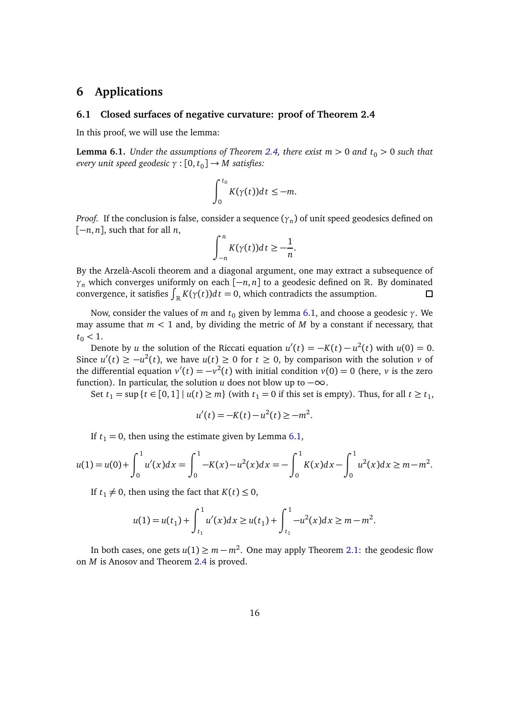# <span id="page-15-0"></span>**6 Applications**

#### **6.1 Closed surfaces of negative curvature: proof of Theorem 2.4**

In this proof, we will use the lemma:

<span id="page-15-1"></span>**Lemma 6.1.** *Under the assumptions of Theorem [2.4,](#page-3-3) there exist*  $m > 0$  *and*  $t_0 > 0$  *such that every unit speed geodesic γ* : [0, *t*<sup>0</sup> ] → *M satisfies:*

$$
\int_0^{t_0} K(\gamma(t))dt \leq -m.
$$

*Proof*. If the conclusion is false, consider a sequence  $(\gamma_n)$  of unit speed geodesics defined on  $[-n, n]$ , such that for all *n*,

$$
\int_{-n}^{n} K(\gamma(t))dt \geq -\frac{1}{n}.
$$

By the Arzelà-Ascoli theorem and a diagonal argument, one may extract a subsequence of *γ*<sup>*n*</sup> which converges uniformly on each  $[-n, n]$  to a geodesic defined on R. By dominated convergence, it satisfies  $\int_{-\infty}^{n} K(\gamma(t)) dt = 0$ , which contradicts the assumption. convergence, it satisfies  $\int_{\mathbb{R}} K(\gamma(t)) dt = 0$ , which contradicts the assumption.

Now, consider the values of *m* and  $t_0$  given by lemma [6.1,](#page-15-1) and choose a geodesic *γ*. We may assume that  $m < 1$  and, by dividing the metric of  $M$  by a constant if necessary, that  $t_0$  < 1.

Denote by *u* the solution of the Riccati equation  $u'(t) = -K(t) - u^2(t)$  with  $u(0) = 0$ . Since  $u'(t) \ge -u^2(t)$ , we have  $u(t) \ge 0$  for  $t \ge 0$ , by comparison with the solution *v* of the differential equation  $v'(t) = -v^2(t)$  with initial condition  $v(0) = 0$  (here, *v* is the zero function). In particular, the solution *u* does not blow up to  $-\infty$ .

Set  $t_1 = \sup\{t \in [0,1] \mid u(t) \ge m\}$  (with  $t_1 = 0$  if this set is empty). Thus, for all  $t \ge t_1$ ,

$$
u'(t) = -K(t) - u^2(t) \ge -m^2.
$$

If  $t_1 = 0$ , then using the estimate given by Lemma [6.1,](#page-15-1)

$$
u(1) = u(0) + \int_0^1 u'(x)dx = \int_0^1 -K(x) - u^2(x)dx = -\int_0^1 K(x)dx - \int_0^1 u^2(x)dx \ge m - m^2.
$$

If  $t_1 \neq 0$ , then using the fact that  $K(t) \leq 0$ ,

$$
u(1) = u(t_1) + \int_{t_1}^1 u'(x) dx \ge u(t_1) + \int_{t_1}^1 -u^2(x) dx \ge m - m^2.
$$

In both cases, one gets  $u(1) \ge m - m^2$ . One may apply Theorem [2.1:](#page-2-1) the geodesic flow on *M* is Anosov and Theorem [2.4](#page-3-3) is proved.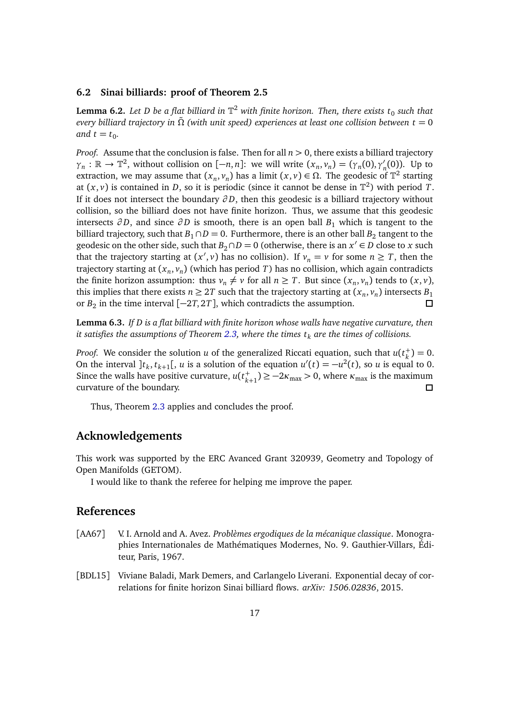### **6.2 Sinai billiards: proof of Theorem 2.5**

**Lemma 6.2.** Let D be a flat billiard in  $\mathbb{T}^2$  with finite horizon. Then, there exists  $t_0$  such that *every billiard trajectory in Ω*˜ *(with unit speed) experiences at least one collision between t* = 0 and  $t = t_0$ .

*Proof.* Assume that the conclusion is false. Then for all  $n > 0$ , there exists a billiard trajectory  $\gamma_n : \mathbb{R} \to \mathbb{T}^2$ , without collision on  $[-n, n]$ : we will write  $(x_n, v_n) = (\gamma_n(0), \gamma'_n(0))$ . Up to extraction, we may assume that  $(x_n, v_n)$  has a limit  $(x, v) \in \Omega$ . The geodesic of  $\mathbb{T}^2$  starting at  $(x, v)$  is contained in *D*, so it is periodic (since it cannot be dense in  $\mathbb{T}^2$ ) with period *T*. If it does not intersect the boundary *∂ D*, then this geodesic is a billiard trajectory without collision, so the billiard does not have finite horizon. Thus, we assume that this geodesic intersects  $\partial D$ , and since  $\partial D$  is smooth, there is an open ball  $B_1$  which is tangent to the billiard trajectory, such that  $B_1 \cap D = 0$ . Furthermore, there is an other ball  $B_2$  tangent to the geodesic on the other side, such that  $B_2 \cap D = 0$  (otherwise, there is an  $x' \in D$  close to  $x$  such that the trajectory starting at  $(x', v)$  has no collision). If  $v_n = v$  for some  $n \geq T$ , then the trajectory starting at (*x<sup>n</sup>* , *v<sup>n</sup>* ) (which has period *T*) has no collision, which again contradicts the finite horizon assumption: thus  $v_n \neq v$  for all  $n \geq T$ . But since  $(x_n, v_n)$  tends to  $(x, v)$ , this implies that there exists  $n \geq 2T$  such that the trajectory starting at  $(x_n, v_n)$  intersects  $B_1$ or  $B_2$  in the time interval  $[-2T, 2T]$ , which contradicts the assumption.  $\Box$ 

**Lemma 6.3.** *If D is a flat billiard with finite horizon whose walls have negative curvature, then it satisfies the assumptions of Theorem [2.3,](#page-3-2) where the times t<sup>k</sup> are the times of collisions.*

*Proof.* We consider the solution *u* of the generalized Riccati equation, such that *u*(*t* +  $_{k}^{+}$ ) = 0. On the interval  $]t_k, t_{k+1}[$ , *u* is a solution of the equation  $u'(t) = -u^2(t)$ , so *u* is equal to 0. Since the walls have positive curvature,  $u(t_k)$  $\kappa_{k+1}^+$ )  $\ge -2\kappa_{\max} > 0$ , where  $\kappa_{\max}$  is the maximum curvature of the boundary. □

Thus, Theorem [2.3](#page-3-2) applies and concludes the proof.

### **Acknowledgements**

This work was supported by the ERC Avanced Grant 320939, Geometry and Topology of Open Manifolds (GETOM).

I would like to thank the referee for helping me improve the paper.

### **References**

- <span id="page-16-0"></span>[AA67] V. I. Arnold and A. Avez. *Problèmes ergodiques de la mécanique classique*. Monographies Internationales de Mathématiques Modernes, No. 9. Gauthier-Villars, Éditeur, Paris, 1967.
- <span id="page-16-1"></span>[BDL15] Viviane Baladi, Mark Demers, and Carlangelo Liverani. Exponential decay of correlations for finite horizon Sinai billiard flows. *arXiv: 1506.02836*, 2015.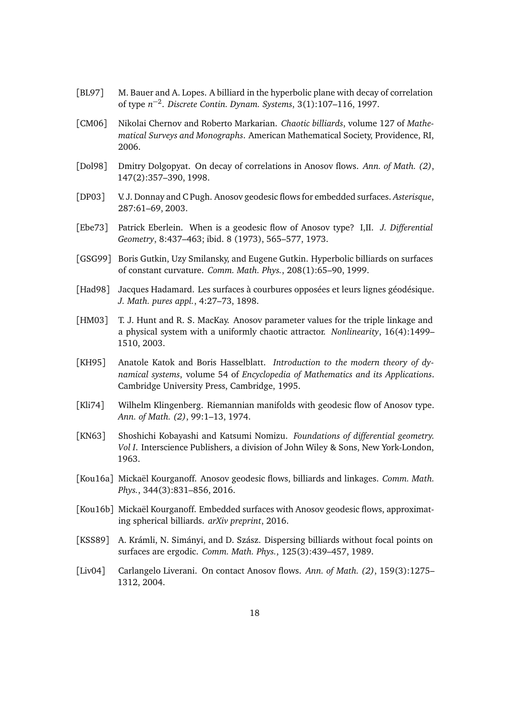- <span id="page-17-1"></span>[BL97] M. Bauer and A. Lopes. A billiard in the hyperbolic plane with decay of correlation of type *n* −2 . *Discrete Contin. Dynam. Systems*, 3(1):107–116, 1997.
- <span id="page-17-3"></span>[CM06] Nikolai Chernov and Roberto Markarian. *Chaotic billiards*, volume 127 of *Mathematical Surveys and Monographs*. American Mathematical Society, Providence, RI, 2006.
- <span id="page-17-12"></span>[Dol98] Dmitry Dolgopyat. On decay of correlations in Anosov flows. *Ann. of Math. (2)*, 147(2):357–390, 1998.
- <span id="page-17-6"></span>[DP03] V. J. Donnay and C Pugh. Anosov geodesic flows for embedded surfaces. *Asterisque*, 287:61–69, 2003.
- <span id="page-17-10"></span>[Ebe73] Patrick Eberlein. When is a geodesic flow of Anosov type? I,II. *J. Differential Geometry*, 8:437–463; ibid. 8 (1973), 565–577, 1973.
- <span id="page-17-2"></span>[GSG99] Boris Gutkin, Uzy Smilansky, and Eugene Gutkin. Hyperbolic billiards on surfaces of constant curvature. *Comm. Math. Phys.*, 208(1):65–90, 1999.
- <span id="page-17-4"></span>[Had98] Jacques Hadamard. Les surfaces à courbures opposées et leurs lignes géodésique. *J. Math. pures appl.*, 4:27–73, 1898.
- <span id="page-17-11"></span>[HM03] T. J. Hunt and R. S. MacKay. Anosov parameter values for the triple linkage and a physical system with a uniformly chaotic attractor. *Nonlinearity*, 16(4):1499– 1510, 2003.
- <span id="page-17-5"></span>[KH95] Anatole Katok and Boris Hasselblatt. *Introduction to the modern theory of dynamical systems*, volume 54 of *Encyclopedia of Mathematics and its Applications*. Cambridge University Press, Cambridge, 1995.
- <span id="page-17-8"></span>[Kli74] Wilhelm Klingenberg. Riemannian manifolds with geodesic flow of Anosov type. *Ann. of Math. (2)*, 99:1–13, 1974.
- <span id="page-17-14"></span>[KN63] Shoshichi Kobayashi and Katsumi Nomizu. *Foundations of differential geometry. Vol I*. Interscience Publishers, a division of John Wiley & Sons, New York-London, 1963.
- <span id="page-17-7"></span>[Kou16a] Mickaël Kourganoff. Anosov geodesic flows, billiards and linkages. *Comm. Math. Phys.*, 344(3):831–856, 2016.
- <span id="page-17-9"></span>[Kou16b] Mickaël Kourganoff. Embedded surfaces with Anosov geodesic flows, approximating spherical billiards. *arXiv preprint*, 2016.
- <span id="page-17-0"></span>[KSS89] A. Krámli, N. Simányi, and D. Szász. Dispersing billiards without focal points on surfaces are ergodic. *Comm. Math. Phys.*, 125(3):439–457, 1989.
- <span id="page-17-13"></span>[Liv04] Carlangelo Liverani. On contact Anosov flows. *Ann. of Math. (2)*, 159(3):1275– 1312, 2004.